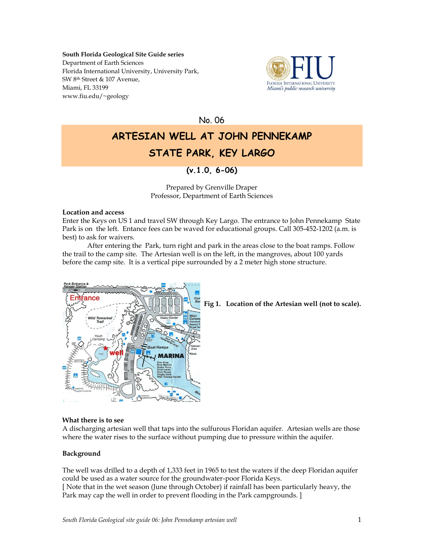## **South Florida Geological Site Guide series** Department of Earth Sciences Florida International University, University Park, SW 8th Street & 107 Avenue, Miami, FL 33199 www.fiu.edu/~geology



No. 06

# **ARTESIAN WELL AT JOHN PENNEKAMP STATE PARK, KEY LARGO**

## **(v.1.0, 6-06)**

Prepared by Grenville Draper Professor, Department of Earth Sciences

## **Location and access**

Enter the Keys on US 1 and travel SW through Key Largo. The entrance to John Pennekamp State Park is on the left. Entance fees can be waved for educational groups. Call 305-452-1202 (a.m. is best) to ask for waivers.

After entering the Park, turn right and park in the areas close to the boat ramps. Follow the trail to the camp site. The Artesian well is on the left, in the mangroves, about 100 yards before the camp site. It is a vertical pipe surrounded by a 2 meter high stone structure.



**Fig 1. Location of the Artesian well (not to scale).**

## **What there is to see**

A discharging artesian well that taps into the sulfurous Floridan aquifer. Artesian wells are those where the water rises to the surface without pumping due to pressure within the aquifer.

## **Background**

The well was drilled to a depth of 1,333 feet in 1965 to test the waters if the deep Floridan aquifer could be used as a water source for the groundwater-poor Florida Keys. [ Note that in the wet season (June through October) if rainfall has been particularly heavy, the Park may cap the well in order to prevent flooding in the Park campgrounds. ]